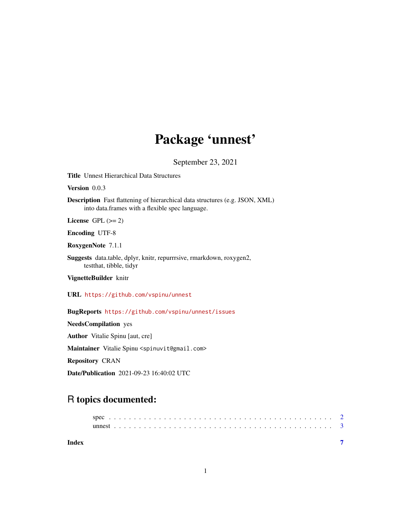## Package 'unnest'

September 23, 2021

Title Unnest Hierarchical Data Structures

Version 0.0.3

Description Fast flattening of hierarchical data structures (e.g. JSON, XML) into data.frames with a flexible spec language.

License GPL  $(>= 2)$ 

Encoding UTF-8

RoxygenNote 7.1.1

Suggests data.table, dplyr, knitr, repurrrsive, rmarkdown, roxygen2, testthat, tibble, tidyr

VignetteBuilder knitr

URL <https://github.com/vspinu/unnest>

BugReports <https://github.com/vspinu/unnest/issues>

NeedsCompilation yes Author Vitalie Spinu [aut, cre] Maintainer Vitalie Spinu <spinuvit@gmail.com> Repository CRAN Date/Publication 2021-09-23 16:40:02 UTC

## R topics documented:

|       | special contract of the set of $\frac{1}{2}$ |  |  |  |  |  |  |  |  |  |  |  |  |  |  |  |  |  |  |  |  |  |
|-------|----------------------------------------------|--|--|--|--|--|--|--|--|--|--|--|--|--|--|--|--|--|--|--|--|--|
|       |                                              |  |  |  |  |  |  |  |  |  |  |  |  |  |  |  |  |  |  |  |  |  |
| Index |                                              |  |  |  |  |  |  |  |  |  |  |  |  |  |  |  |  |  |  |  |  |  |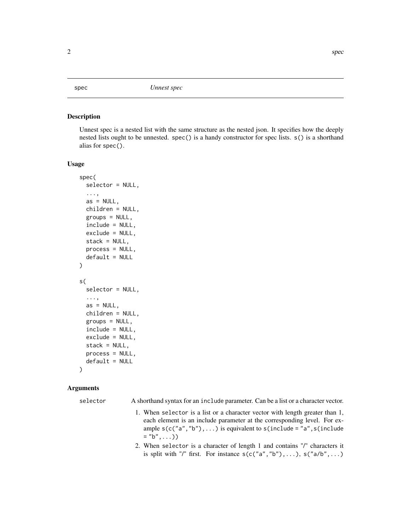<span id="page-1-1"></span><span id="page-1-0"></span>

#### Description

Unnest spec is a nested list with the same structure as the nested json. It specifies how the deeply nested lists ought to be unnested. spec() is a handy constructor for spec lists. s() is a shorthand alias for spec().

#### Usage

```
spec(
  selector = NULL,
  ...,
  as = NULL,children = NULL,
  groups = NULL,include = NULL,
  exclude = NULL,
  stack = NULL,
  process = NULL,
  default = NULL)
s(
  selector = NULL,
  ...,
  as = NULL,children = NULL,
  groups = NULL,
  include = NULL,
  exclude = NULL,
  stack = NULL,
  process = NULL,
  default = NULL)
```
## Arguments

selector A shorthand syntax for an include parameter. Can be a list or a character vector. 1. When selector is a list or a character vector with length greater than 1,

- each element is an include parameter at the corresponding level. For example  $s(c("a", "b"),...)$  is equivalent to  $s(include = "a", s(include$  $=$  "b", ...))
- 2. When selector is a character of length 1 and contains "/" characters it is split with "/" first. For instance  $s(c("a", "b"), \ldots)$ ,  $s("a/b", \ldots)$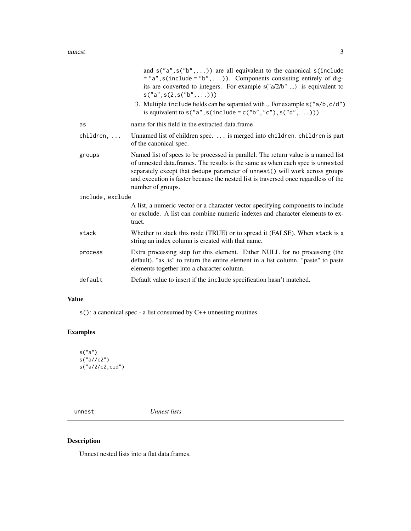<span id="page-2-0"></span>

|                    | and $s("a", s("b",)$ are all equivalent to the canonical $s(include)$<br>$=$ "a", s(include = "b", )). Components consisting entirely of dig-<br>its are converted to integers. For example $s("a/2/b" )$ is equivalent to<br>$s("a", s(2, s("b", \ldots)))$<br>3. Multiple include fields can be separated with, For example s("a/b, c/d")                     |
|--------------------|-----------------------------------------------------------------------------------------------------------------------------------------------------------------------------------------------------------------------------------------------------------------------------------------------------------------------------------------------------------------|
|                    | is equivalent to $s("a", s(include = c("b", "c"), s("d", )))$                                                                                                                                                                                                                                                                                                   |
| as                 | name for this field in the extracted data.frame                                                                                                                                                                                                                                                                                                                 |
| $children, \ldots$ | Unnamed list of children spec.  is merged into children. children is part<br>of the canonical spec.                                                                                                                                                                                                                                                             |
| groups             | Named list of specs to be processed in parallel. The return value is a named list<br>of unnested data.frames. The results is the same as when each spec is unnested<br>separately except that dedupe parameter of unnest () will work across groups<br>and execution is faster because the nested list is traversed once regardless of the<br>number of groups. |
| include, exclude   |                                                                                                                                                                                                                                                                                                                                                                 |
|                    | A list, a numeric vector or a character vector specifying components to include<br>or exclude. A list can combine numeric indexes and character elements to ex-<br>tract.                                                                                                                                                                                       |
| stack              | Whether to stack this node (TRUE) or to spread it (FALSE). When stack is a<br>string an index column is created with that name.                                                                                                                                                                                                                                 |
| process            | Extra processing step for this element. Either NULL for no processing (the<br>default), "as_is" to return the entire element in a list column, "paste" to paste<br>elements together into a character column.                                                                                                                                                   |
| default            | Default value to insert if the include specification hasn't matched.                                                                                                                                                                                                                                                                                            |

## Value

s(): a canonical spec - a list consumed by C++ unnesting routines.

## Examples

```
s("a")
s("a//c2")
s("a/2/c2,cid")
```
unnest *Unnest lists*

## Description

Unnest nested lists into a flat data.frames.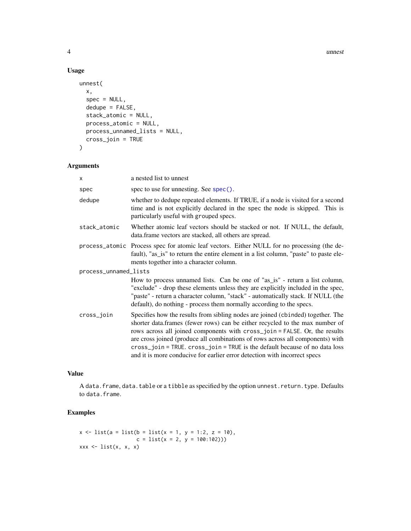4 unnest

## Usage

```
unnest(
 x,
  spec = NULL,
 dedupe = FALSE,
 stack_atomic = NULL,
 process_atomic = NULL,
 process_unnamed_lists = NULL,
 cross_join = TRUE
)
```
## Arguments

| X                     | a nested list to unnest                                                                                                                                                                                                                                                                                                                                                                                                                                                                     |
|-----------------------|---------------------------------------------------------------------------------------------------------------------------------------------------------------------------------------------------------------------------------------------------------------------------------------------------------------------------------------------------------------------------------------------------------------------------------------------------------------------------------------------|
| spec                  | spec to use for unnesting. See spec().                                                                                                                                                                                                                                                                                                                                                                                                                                                      |
| dedupe                | whether to dedupe repeated elements. If TRUE, if a node is visited for a second<br>time and is not explicitly declared in the spec the node is skipped. This is<br>particularly useful with grouped specs.                                                                                                                                                                                                                                                                                  |
| stack_atomic          | Whether atomic leaf vectors should be stacked or not. If NULL, the default,<br>data.frame vectors are stacked, all others are spread.                                                                                                                                                                                                                                                                                                                                                       |
|                       | process_atomic Process spec for atomic leaf vectors. Either NULL for no processing (the de-<br>fault), "as_is" to return the entire element in a list column, "paste" to paste ele-<br>ments together into a character column.                                                                                                                                                                                                                                                              |
| process_unnamed_lists |                                                                                                                                                                                                                                                                                                                                                                                                                                                                                             |
|                       | How to process unnamed lists. Can be one of "as_is" - return a list column,<br>"exclude" - drop these elements unless they are explicitly included in the spec,<br>"paste" - return a character column, "stack" - automatically stack. If NULL (the<br>default), do nothing - process them normally according to the specs.                                                                                                                                                                 |
| cross_join            | Specifies how the results from sibling nodes are joined (cbinded) together. The<br>shorter data.frames (fewer rows) can be either recycled to the max number of<br>rows across all joined components with cross_join = FALSE. Or, the results<br>are cross joined (produce all combinations of rows across all components) with<br>cross_join = TRUE. cross_join = TRUE is the default because of no data loss<br>and it is more conducive for earlier error detection with incorrect specs |

#### Value

A data.frame, data.table or a tibble as specified by the option unnest.return.type. Defaults to data.frame.

### Examples

```
x \le -\text{list}(a = \text{list}(b = \text{list}(x = 1, y = 1:2, z = 10)),c = list(x = 2, y = 100:102))xxx \leftarrow list(x, x, x)
```
<span id="page-3-0"></span>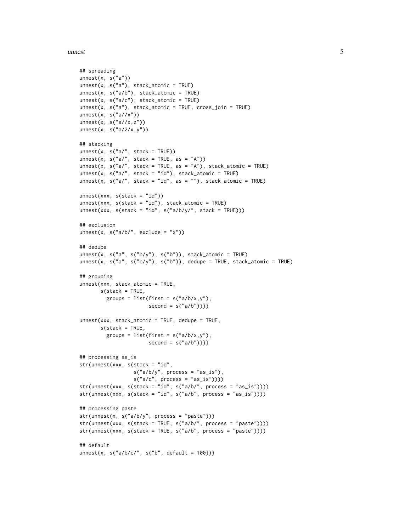unnest 5

```
## spreading
unnest(x, s("a"))unnest(x, s("a"), stack_atomic = TRUE)unnest(x, s("a/b"), stack_atomic = TRUE)
unnest(x, s("a/c"), stack_atomic = TRUE)
unnest(x, s("a"), stack_atomic = TRUE, cross_join = TRUE)
unnest(x, s("a//x"))unnest(x, s("a//x, z"))unnest(x, s("a/2/x,y"))
## stacking
unnest(x, s("a/", stack = TRUE))unnest(x, s("a/", stack = TRUE, as = "A"))unnest(x, s("a/", stack = TRUE, as = "A"), stack_atomic = TRUE)unnest(x, s("a/", stack = "id"), stack_atomic = TRUE)unnest(x, s("a/", stack = "id", as = ""), stack_atomic = TRUE)unnest(xxx, s(stack = "id"))
unnest(xxx, s(state = "id"), stack_atomic = TRUE)unnest(xxx, s(\text{stack} = "id", s("a/b/y/", \text{stack} = \text{TRUE})))## exclusion
unnest(x, s("a/b)", exclude = "x"))
## dedupe
unnest(x, s("a", s("b/y"), s("b")), stack_atomic = TRUE)
unnest(x, s("a", s("b/y"), s("b")), dedupe = TRUE, stack_atomic = TRUE)
## grouping
unnest(xxx, stack_atomic = TRUE,
       s(stack = TRUE,
         groups = list(first = s("a/b/x, y"),
                       second = s("a/b")))unnest(xxx, stack_atomic = TRUE, dedupe = TRUE,
       s(stack = TRUE,
         groups = list(first = s("a/b/x, y"),second = s("a/b")))## processing as_is
str(unnest(xxx, s(stack = "id",
                  s("a/b/y", process = "as_is"),
                  s("a/c", process = "as_is"))str(unnest(xxx, s(stack = "id", s("a/b/", process = "as_is"))))
str(unnest(xxx, s(stack = "id", s("a/b", process = "as_is"))))
## processing paste
str(unnest(x, s("a/b/y", process = "paste")))
str(unnest(xxx, s(stack = TRUE, s("a/b/", process = "paste"))))
str(unnest(xxx, s(stack = TRUE, s("a/b", process = "paste"))))
## default
unnest(x, s("a/b/c", s("b", default = 100)))
```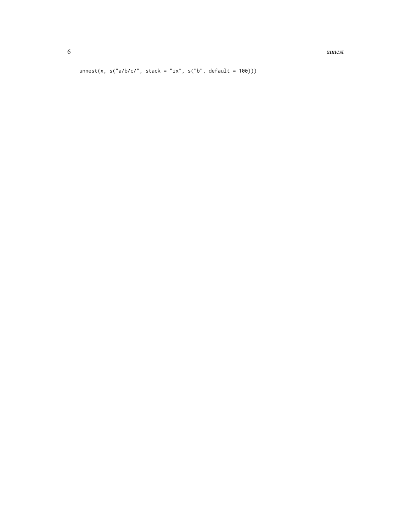6 unnest variable variable variable variable variable variable variable variable variable variable variable variable variable variable variable variable variable variable variable variable variable variable variable variab

```
unnest(x, s("a/b/c/", stack = "ix", s("b", default = 100)))
```